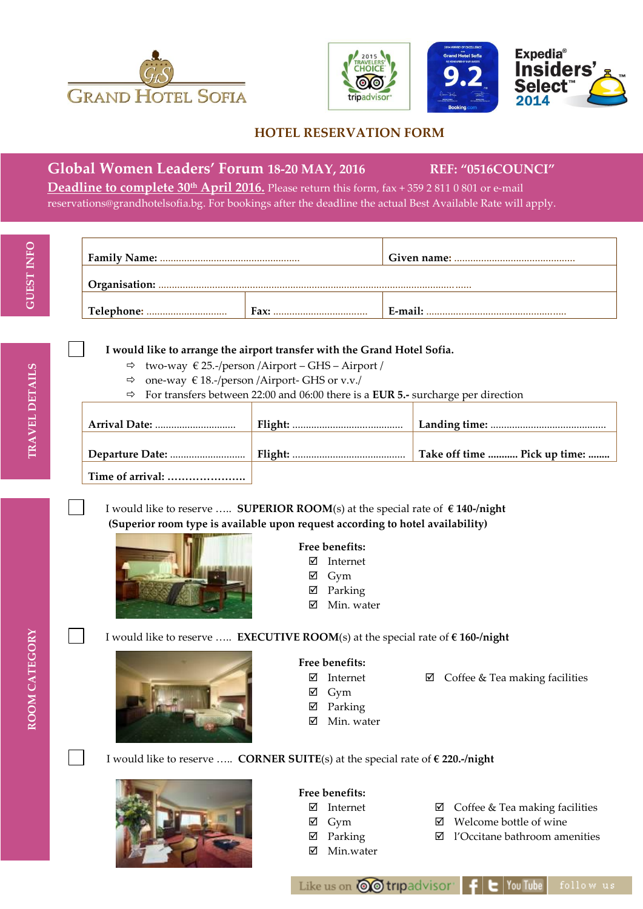



## **HOTEL RESERVATION FORM**

# **Global Women Leaders' Forum 18-20 MAY, 2016 REF: "0516COUNCI"**

**Deadline to complete 30 th April 2016.** Please return this form, fax + 359 2 811 0 801 or e-mail [reservations@grandhotelsofia.bg.](mailto:reservations@grandhotelsofia.bg) For bookings after the deadline the actual Best Available Rate will apply.

**TRAVEL DETAILS**

TRAVEL DETAILS

|  | Fax: | E-mail: |  |
|--|------|---------|--|

#### **I would like to arrange the airport transfer with the Grand Hotel Sofia.**

- $\Rightarrow$  two-way  $\in$  25.-/person /Airport GHS Airport /
- $\Rightarrow$  one-way  $\in$  18.-/person /Airport- GHS or v.v./
- For transfers between 22:00 and 06:00 there is a **EUR 5.-** surcharge per direction

|                  | Take off time  Pick up time: |
|------------------|------------------------------|
| Time of arrival: |                              |

I would like to reserve ….. **SUPERIOR ROOM**(s) at the special rate of **€ 140-/night (Superior room type is available upon request according to hotel availability)**



## **Free benefits:**

- Internet
- $\boxtimes$  Gym
- Parking
- $\boxtimes$  Min. water

ROOM CATEGORY **ROOM CATEGORY**

#### I would like to reserve ….. **EXECUTIVE ROOM**(s) at the special rate of **€ 160-/night**



#### **Free benefits:**

Internet

 $\boxtimes$  Coffee & Tea making facilities

- $\boxtimes$  Gym
- Parking
- $\boxtimes$  Min. water
- I would like to reserve ….. **CORNER SUITE**(s) at the special rate of **€ 220.-/night**



## **Free benefits:**

- Internet
- Gym
- Parking
- Min.water
- $\boxtimes$  Coffee & Tea making facilities
- Welcome bottle of wine
- l'Occitane bathroom amenities